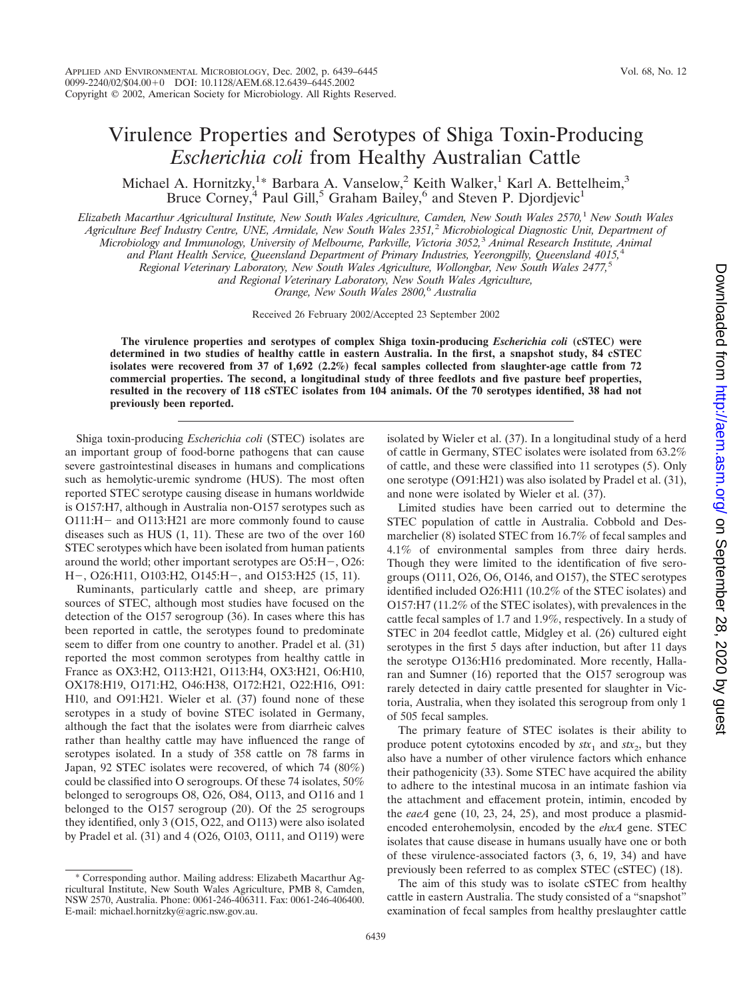## Virulence Properties and Serotypes of Shiga Toxin-Producing *Escherichia coli* from Healthy Australian Cattle

Michael A. Hornitzky,<sup>1</sup>\* Barbara A. Vanselow,<sup>2</sup> Keith Walker,<sup>1</sup> Karl A. Bettelheim,<sup>3</sup> Bruce Corney,<sup>4</sup> Paul Gill,<sup>5</sup> Graham Bailey,<sup>6</sup> and Steven P. Djordjevic<sup>1</sup>

*Elizabeth Macarthur Agricultural Institute, New South Wales Agriculture, Camden, New South Wales 2570,*<sup>1</sup> *New South Wales Agriculture Beef Industry Centre, UNE, Armidale, New South Wales 2351,*<sup>2</sup> *Microbiological Diagnostic Unit, Department of*

*Microbiology and Immunology, University of Melbourne, Parkville, Victoria 3052,*<sup>3</sup> *Animal Research Institute, Animal*

*and Plant Health Service, Queensland Department of Primary Industries, Yeerongpilly, Queensland 4015,*<sup>4</sup>

*Regional Veterinary Laboratory, New South Wales Agriculture, Wollongbar, New South Wales 2477,*<sup>5</sup>

*and Regional Veterinary Laboratory, New South Wales Agriculture,*

*Orange, New South Wales 2800,*<sup>6</sup> *Australia*

Received 26 February 2002/Accepted 23 September 2002

**The virulence properties and serotypes of complex Shiga toxin-producing** *Escherichia coli* **(cSTEC) were determined in two studies of healthy cattle in eastern Australia. In the first, a snapshot study, 84 cSTEC isolates were recovered from 37 of 1,692 (2.2%) fecal samples collected from slaughter-age cattle from 72 commercial properties. The second, a longitudinal study of three feedlots and five pasture beef properties, resulted in the recovery of 118 cSTEC isolates from 104 animals. Of the 70 serotypes identified, 38 had not previously been reported.**

Shiga toxin-producing *Escherichia coli* (STEC) isolates are an important group of food-borne pathogens that can cause severe gastrointestinal diseases in humans and complications such as hemolytic-uremic syndrome (HUS). The most often reported STEC serotype causing disease in humans worldwide is O157:H7, although in Australia non-O157 serotypes such as O111:H- and O113:H21 are more commonly found to cause diseases such as HUS (1, 11). These are two of the over 160 STEC serotypes which have been isolated from human patients around the world; other important serotypes are O5:H-, O26: H-, O26:H11, O103:H2, O145:H-, and O153:H25 (15, 11).

Ruminants, particularly cattle and sheep, are primary sources of STEC, although most studies have focused on the detection of the O157 serogroup (36). In cases where this has been reported in cattle, the serotypes found to predominate seem to differ from one country to another. Pradel et al. (31) reported the most common serotypes from healthy cattle in France as OX3:H2, O113:H21, O113:H4, OX3:H21, O6:H10, OX178:H19, O171:H2, O46:H38, O172:H21, O22:H16, O91: H10, and O91:H21. Wieler et al. (37) found none of these serotypes in a study of bovine STEC isolated in Germany, although the fact that the isolates were from diarrheic calves rather than healthy cattle may have influenced the range of serotypes isolated. In a study of 358 cattle on 78 farms in Japan, 92 STEC isolates were recovered, of which 74 (80%) could be classified into O serogroups. Of these 74 isolates, 50% belonged to serogroups O8, O26, O84, O113, and O116 and 1 belonged to the O157 serogroup (20). Of the 25 serogroups they identified, only 3 (O15, O22, and O113) were also isolated by Pradel et al. (31) and 4 (O26, O103, O111, and O119) were

\* Corresponding author. Mailing address: Elizabeth Macarthur Agricultural Institute, New South Wales Agriculture, PMB 8, Camden, NSW 2570, Australia. Phone: 0061-246-406311. Fax: 0061-246-406400. E-mail: michael.hornitzky@agric.nsw.gov.au.

isolated by Wieler et al. (37). In a longitudinal study of a herd of cattle in Germany, STEC isolates were isolated from 63.2% of cattle, and these were classified into 11 serotypes (5). Only one serotype (O91:H21) was also isolated by Pradel et al. (31), and none were isolated by Wieler et al. (37).

Limited studies have been carried out to determine the STEC population of cattle in Australia. Cobbold and Desmarchelier (8) isolated STEC from 16.7% of fecal samples and 4.1% of environmental samples from three dairy herds. Though they were limited to the identification of five serogroups (O111, O26, O6, O146, and O157), the STEC serotypes identified included O26:H11 (10.2% of the STEC isolates) and O157:H7 (11.2% of the STEC isolates), with prevalences in the cattle fecal samples of 1.7 and 1.9%, respectively. In a study of STEC in 204 feedlot cattle, Midgley et al. (26) cultured eight serotypes in the first 5 days after induction, but after 11 days the serotype O136:H16 predominated. More recently, Hallaran and Sumner (16) reported that the O157 serogroup was rarely detected in dairy cattle presented for slaughter in Victoria, Australia, when they isolated this serogroup from only 1 of 505 fecal samples.

The primary feature of STEC isolates is their ability to produce potent cytotoxins encoded by  $stx_1$  and  $stx_2$ , but they also have a number of other virulence factors which enhance their pathogenicity (33). Some STEC have acquired the ability to adhere to the intestinal mucosa in an intimate fashion via the attachment and effacement protein, intimin, encoded by the *eaeA* gene (10, 23, 24, 25), and most produce a plasmidencoded enterohemolysin, encoded by the *ehxA* gene. STEC isolates that cause disease in humans usually have one or both of these virulence-associated factors (3, 6, 19, 34) and have previously been referred to as complex STEC (cSTEC) (18).

The aim of this study was to isolate cSTEC from healthy cattle in eastern Australia. The study consisted of a "snapshot" examination of fecal samples from healthy preslaughter cattle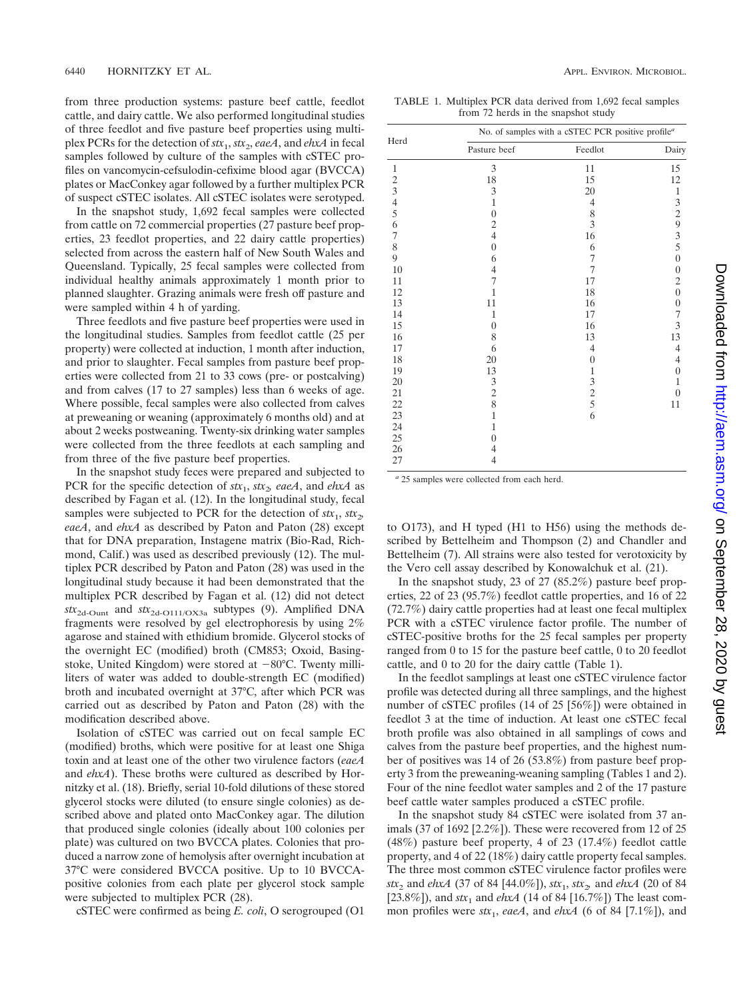from three production systems: pasture beef cattle, feedlot cattle, and dairy cattle. We also performed longitudinal studies of three feedlot and five pasture beef properties using multiplex PCRs for the detection of *stx*1, *stx*2, *eaeA*, and *ehxA* in fecal samples followed by culture of the samples with cSTEC profiles on vancomycin-cefsulodin-cefixime blood agar (BVCCA) plates or MacConkey agar followed by a further multiplex PCR of suspect cSTEC isolates. All cSTEC isolates were serotyped.

In the snapshot study, 1,692 fecal samples were collected from cattle on 72 commercial properties (27 pasture beef properties, 23 feedlot properties, and 22 dairy cattle properties) selected from across the eastern half of New South Wales and Queensland. Typically, 25 fecal samples were collected from individual healthy animals approximately 1 month prior to planned slaughter. Grazing animals were fresh off pasture and were sampled within 4 h of yarding.

Three feedlots and five pasture beef properties were used in the longitudinal studies. Samples from feedlot cattle (25 per property) were collected at induction, 1 month after induction, and prior to slaughter. Fecal samples from pasture beef properties were collected from 21 to 33 cows (pre- or postcalving) and from calves (17 to 27 samples) less than 6 weeks of age. Where possible, fecal samples were also collected from calves at preweaning or weaning (approximately 6 months old) and at about 2 weeks postweaning. Twenty-six drinking water samples were collected from the three feedlots at each sampling and from three of the five pasture beef properties.

In the snapshot study feces were prepared and subjected to PCR for the specific detection of  $stx_1$ ,  $stx_2$  eaeA, and *ehxA* as described by Fagan et al. (12). In the longitudinal study, fecal samples were subjected to PCR for the detection of  $f(x_1, f(x_2))$ *eaeA*, and *ehxA* as described by Paton and Paton (28) except that for DNA preparation, Instagene matrix (Bio-Rad, Richmond, Calif.) was used as described previously (12). The multiplex PCR described by Paton and Paton (28) was used in the longitudinal study because it had been demonstrated that the multiplex PCR described by Fagan et al. (12) did not detect *stx*2d-Ount and *stx*2d-O111/OX3a subtypes (9). Amplified DNA fragments were resolved by gel electrophoresis by using 2% agarose and stained with ethidium bromide. Glycerol stocks of the overnight EC (modified) broth (CM853; Oxoid, Basingstoke, United Kingdom) were stored at  $-80^{\circ}$ C. Twenty milliliters of water was added to double-strength EC (modified) broth and incubated overnight at 37°C, after which PCR was carried out as described by Paton and Paton (28) with the modification described above.

Isolation of cSTEC was carried out on fecal sample EC (modified) broths, which were positive for at least one Shiga toxin and at least one of the other two virulence factors (*eaeA* and *ehxA*). These broths were cultured as described by Hornitzky et al. (18). Briefly, serial 10-fold dilutions of these stored glycerol stocks were diluted (to ensure single colonies) as described above and plated onto MacConkey agar. The dilution that produced single colonies (ideally about 100 colonies per plate) was cultured on two BVCCA plates. Colonies that produced a narrow zone of hemolysis after overnight incubation at 37°C were considered BVCCA positive. Up to 10 BVCCApositive colonies from each plate per glycerol stock sample were subjected to multiplex PCR (28).

cSTEC were confirmed as being *E. coli*, O serogrouped (O1

TABLE 1. Multiplex PCR data derived from 1,692 fecal samples from 72 herds in the snapshot study

|                | No. of samples with a cSTEC PCR positive profile <sup>a</sup> |                |                         |  |  |  |
|----------------|---------------------------------------------------------------|----------------|-------------------------|--|--|--|
| Herd           | Pasture beef                                                  | Feedlot        | Dairy                   |  |  |  |
| $\mathbf{1}$   | 3                                                             | 11             | 15                      |  |  |  |
|                | $18\,$                                                        | 15             | 12                      |  |  |  |
|                | 3                                                             | 20             | $\mathbf{1}$            |  |  |  |
| 23456          | $\mathbf{1}$                                                  | $\overline{4}$ | 3                       |  |  |  |
|                | $\boldsymbol{0}$                                              | 8              | $\overline{\mathbf{c}}$ |  |  |  |
|                | $\overline{c}$                                                | 3              | 9                       |  |  |  |
| $\overline{7}$ | $\overline{4}$                                                | 16             | $\frac{3}{5}$           |  |  |  |
| 8              | $\overline{0}$                                                | 6              |                         |  |  |  |
| 9              | 6                                                             | 7              | $\overline{0}$          |  |  |  |
| 10             | $\overline{4}$                                                | 7              | $\boldsymbol{0}$        |  |  |  |
| 11             | 7                                                             | 17             | $\mathfrak{2}$          |  |  |  |
| 12             | $\mathbf{1}$                                                  | 18             | $\boldsymbol{0}$        |  |  |  |
| 13             | 11                                                            | 16             | $\boldsymbol{0}$        |  |  |  |
| 14             | $\mathbf{1}$                                                  | 17             | 7                       |  |  |  |
| 15             | $\overline{0}$                                                | 16             | 3                       |  |  |  |
| 16             | 8                                                             | 13             | 13                      |  |  |  |
| 17             | 6                                                             | 4              | 4                       |  |  |  |
| 18             | 20                                                            | $\overline{0}$ | $\overline{4}$          |  |  |  |
| 19             | 13                                                            | 1              | $\theta$                |  |  |  |
| 20             | 3                                                             | 3              | 1                       |  |  |  |
| 21             | $\frac{2}{8}$                                                 | $rac{2}{5}$    | $\theta$                |  |  |  |
| 22             |                                                               |                | 11                      |  |  |  |
| 23             | $\mathbf{1}$                                                  | 6              |                         |  |  |  |
| 24             | $\mathbf{1}$                                                  |                |                         |  |  |  |
| 25             | $\overline{0}$                                                |                |                         |  |  |  |
| 26             | 4                                                             |                |                         |  |  |  |
| 27             | 4                                                             |                |                         |  |  |  |

*<sup>a</sup>* 25 samples were collected from each herd.

to O173), and H typed (H1 to H56) using the methods described by Bettelheim and Thompson (2) and Chandler and Bettelheim (7). All strains were also tested for verotoxicity by the Vero cell assay described by Konowalchuk et al. (21).

In the snapshot study, 23 of 27 (85.2%) pasture beef properties, 22 of 23 (95.7%) feedlot cattle properties, and 16 of 22 (72.7%) dairy cattle properties had at least one fecal multiplex PCR with a cSTEC virulence factor profile. The number of cSTEC-positive broths for the 25 fecal samples per property ranged from 0 to 15 for the pasture beef cattle, 0 to 20 feedlot cattle, and 0 to 20 for the dairy cattle (Table 1).

In the feedlot samplings at least one cSTEC virulence factor profile was detected during all three samplings, and the highest number of cSTEC profiles (14 of 25 [56%]) were obtained in feedlot 3 at the time of induction. At least one cSTEC fecal broth profile was also obtained in all samplings of cows and calves from the pasture beef properties, and the highest number of positives was 14 of 26 (53.8%) from pasture beef property 3 from the preweaning-weaning sampling (Tables 1 and 2). Four of the nine feedlot water samples and 2 of the 17 pasture beef cattle water samples produced a cSTEC profile.

In the snapshot study 84 cSTEC were isolated from 37 animals (37 of 1692 [2.2%]). These were recovered from 12 of 25 (48%) pasture beef property, 4 of 23 (17.4%) feedlot cattle property, and 4 of 22 (18%) dairy cattle property fecal samples. The three most common cSTEC virulence factor profiles were *stx*<sub>2</sub> and *ehxA* (37 of 84 [44.0%]), *stx*<sub>1</sub>, *stx*<sub>2</sub>, and *ehxA* (20 of 84 [23.8%]), and *stx*<sub>1</sub> and *ehxA* (14 of 84 [16.7%]) The least common profiles were  $stx_1$ , *eaeA*, and *ehxA* (6 of 84 [7.1%]), and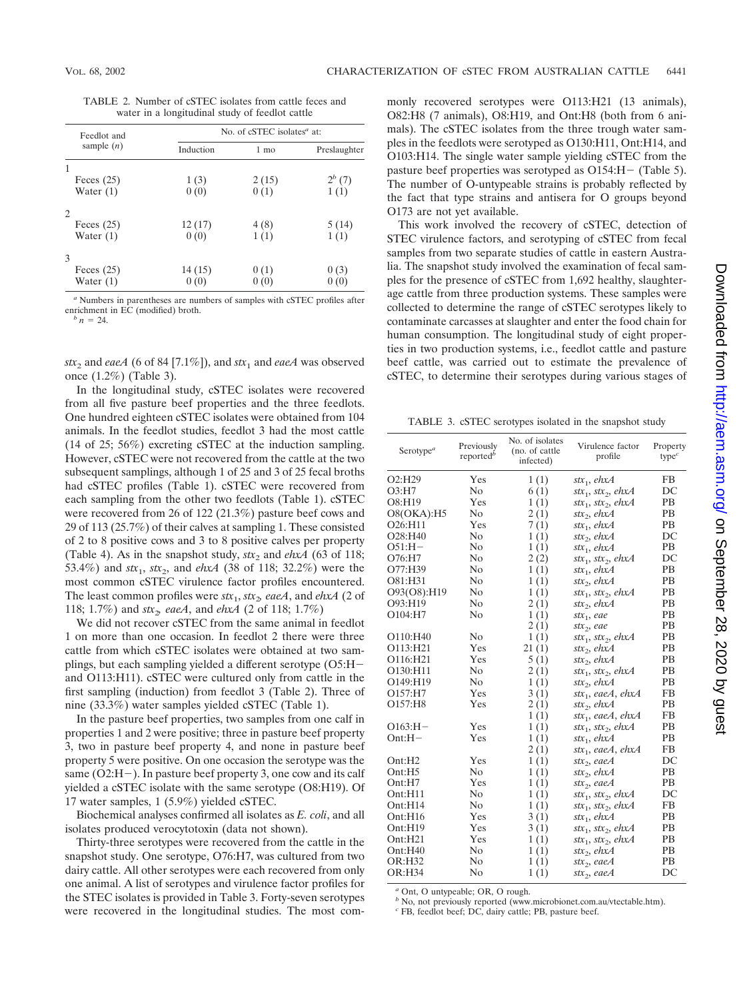TABLE 2. Number of cSTEC isolates from cattle feces and water in a longitudinal study of feedlot cattle

| Feedlot and   |           | No. of $cSTEC$ isolates <sup><math>a</math></sup> at: |              |
|---------------|-----------|-------------------------------------------------------|--------------|
| sample $(n)$  | Induction | 1 mo                                                  | Preslaughter |
|               |           |                                                       |              |
| Feces $(25)$  | 1(3)      | 2(15)                                                 | $2^{b} (7)$  |
| Water $(1)$   | 0(0)      | 0(1)                                                  | 1(1)         |
| 2             |           |                                                       |              |
| Feces $(25)$  | 12(17)    | 4(8)                                                  | 5(14)        |
| Water $(1)$   | 0(0)      | 1(1)                                                  | 1(1)         |
| $\mathcal{F}$ |           |                                                       |              |
| Feces $(25)$  | 14 (15)   | 0(1)                                                  | 0(3)         |
| Water $(1)$   | 0(0)      | 0(0)                                                  |              |

*<sup>a</sup>* Numbers in parentheses are numbers of samples with cSTEC profiles after enrichment in EC (modified) broth.<br> $\frac{b}{n} = 24$ .

 $stx_2$  and *eaeA* (6 of 84 [7.1%]), and  $stx_1$  and *eaeA* was observed once (1.2%) (Table 3).

In the longitudinal study, cSTEC isolates were recovered from all five pasture beef properties and the three feedlots. One hundred eighteen cSTEC isolates were obtained from 104 animals. In the feedlot studies, feedlot 3 had the most cattle (14 of 25; 56%) excreting cSTEC at the induction sampling. However, cSTEC were not recovered from the cattle at the two subsequent samplings, although 1 of 25 and 3 of 25 fecal broths had cSTEC profiles (Table 1). cSTEC were recovered from each sampling from the other two feedlots (Table 1). cSTEC were recovered from 26 of 122 (21.3%) pasture beef cows and 29 of 113 (25.7%) of their calves at sampling 1. These consisted of 2 to 8 positive cows and 3 to 8 positive calves per property (Table 4). As in the snapshot study, *, and*  $*ehxA*$  *(63 of 118;* 53.4%) and  $stx_1$ ,  $stx_2$ , and  $ehxA$  (38 of 118; 32.2%) were the most common cSTEC virulence factor profiles encountered. The least common profiles were  $$ 118; 1.7%) and *stx*2*, eaeA*, and *ehxA* (2 of 118; 1.7%)

We did not recover cSTEC from the same animal in feedlot 1 on more than one occasion. In feedlot 2 there were three cattle from which cSTEC isolates were obtained at two samplings, but each sampling yielded a different serotype (O5:H and O113:H11). cSTEC were cultured only from cattle in the first sampling (induction) from feedlot 3 (Table 2). Three of nine (33.3%) water samples yielded cSTEC (Table 1).

In the pasture beef properties, two samples from one calf in properties 1 and 2 were positive; three in pasture beef property 3, two in pasture beef property 4, and none in pasture beef property 5 were positive. On one occasion the serotype was the same (O2:H-). In pasture beef property 3, one cow and its calf yielded a cSTEC isolate with the same serotype (O8:H19). Of 17 water samples, 1 (5.9%) yielded cSTEC.

Biochemical analyses confirmed all isolates as *E. coli*, and all isolates produced verocytotoxin (data not shown).

Thirty-three serotypes were recovered from the cattle in the snapshot study. One serotype, O76:H7, was cultured from two dairy cattle. All other serotypes were each recovered from only one animal. A list of serotypes and virulence factor profiles for the STEC isolates is provided in Table 3. Forty-seven serotypes were recovered in the longitudinal studies. The most commonly recovered serotypes were O113:H21 (13 animals), O82:H8 (7 animals), O8:H19, and Ont:H8 (both from 6 animals). The cSTEC isolates from the three trough water samples in the feedlots were serotyped as O130:H11, Ont:H14, and O103:H14. The single water sample yielding cSTEC from the pasture beef properties was serotyped as O154:H- (Table 5). The number of O-untypeable strains is probably reflected by the fact that type strains and antisera for O groups beyond O173 are not yet available.

This work involved the recovery of cSTEC, detection of STEC virulence factors, and serotyping of cSTEC from fecal samples from two separate studies of cattle in eastern Australia. The snapshot study involved the examination of fecal samples for the presence of cSTEC from 1,692 healthy, slaughterage cattle from three production systems. These samples were collected to determine the range of cSTEC serotypes likely to contaminate carcasses at slaughter and enter the food chain for human consumption. The longitudinal study of eight properties in two production systems, i.e., feedlot cattle and pasture beef cattle, was carried out to estimate the prevalence of cSTEC, to determine their serotypes during various stages of

TABLE 3. cSTEC serotypes isolated in the snapshot study

| Serotype <sup>a</sup>            | Previously<br>reported <sup>b</sup> | No. of isolates<br>(no. of cattle<br>infected) | Virulence factor<br>profile                | Property<br>type <sup>c</sup> |
|----------------------------------|-------------------------------------|------------------------------------------------|--------------------------------------------|-------------------------------|
| O2:H29                           | Yes                                 | 1(1)                                           | stx <sub>1</sub> , ehx $A$                 | FB.                           |
| O3:HI7                           | N <sub>0</sub>                      | 6(1)                                           | $stx_1$ , $stx_2$ , $ehxA$                 | DC                            |
| O8:H19                           | Yes                                 | 1(1)                                           | $stx_1$ , $stx_2$ , $ehxA$                 | <b>PB</b>                     |
| O8(OKA):H5                       | N <sub>0</sub>                      | 2(1)                                           | stx <sub>2</sub> , ehx $A$                 | <b>PB</b>                     |
| O <sub>26</sub> :H <sub>11</sub> | Yes                                 | 7(1)                                           | stx <sub>1</sub> , ehx $\overline{A}$      | PB                            |
| O28:H40                          | N <sub>0</sub>                      | 1(1)                                           | stx <sub>2</sub> , ehx $\overline{A}$      | DC                            |
| $O51:H-$                         | N <sub>0</sub>                      | 1(1)                                           | stx <sub>1</sub> , ehx $\overline{A}$      | <b>PB</b>                     |
| O76:H7                           | N <sub>0</sub>                      | 2(2)                                           | $stx_1, stx_2, ehxA$                       | DC                            |
| O77:H39                          | N <sub>0</sub>                      | 1(1)                                           | stx <sub>1</sub> , ehx $\overline{A}$      | PВ                            |
| O81:H31                          | N <sub>0</sub>                      | 1(1)                                           | $stx_2$ , ehx $A$                          | PВ                            |
| O93(O8):H19                      | N <sub>0</sub>                      | 1(1)                                           | $stx_1, stx_2, ehxA$                       | <b>PB</b>                     |
| O93:H19                          | N <sub>0</sub>                      | 2(1)                                           | stx <sub>2</sub> , ehx $\overline{A}$      | PВ                            |
| O104:H7                          | N <sub>0</sub>                      | 1(1)                                           | $stx_1$ , eae                              | PB                            |
|                                  |                                     | 2(1)                                           | $stx2$ , eae                               | РB                            |
| O110:H40                         | N <sub>0</sub>                      | 1(1)                                           | $stx_1, stx_2, ehxA$                       | РB                            |
| O113:H21                         | Yes                                 | 21(1)                                          | stx <sub>2</sub> , ehx $\overline{A}$      | PB                            |
| O116:H21                         | Yes                                 | 5(1)                                           | stx <sub>2</sub> , ehx $A$                 | <b>PB</b>                     |
| O130:H11                         | N <sub>0</sub>                      | 2(1)                                           | stx <sub>1</sub> , stx <sub>2</sub> , ehxA | PB.                           |
| O149:H19                         | No                                  | 1(1)                                           | stx <sub>2</sub> , ehx $A$                 | PB.                           |
| O157:H7                          | Yes                                 | 3(1)                                           | stx <sub>1</sub> , eaeA, ehxA              | FB.                           |
| O157:H8                          | Yes                                 | 2(1)                                           | stx <sub>2</sub> , ehx $\overline{A}$      | PB                            |
|                                  |                                     | 1(1)                                           | $stx_1$ , eaeA, ehxA                       | FB                            |
| $O163:H -$                       | Yes                                 | 1(1)                                           | $stx_1, stx_2, ehxA$                       | PB                            |
| $Ont:H-$                         | Yes                                 | 1(1)                                           | stx <sub>1</sub> , ehx $\overline{A}$      | PB                            |
|                                  |                                     | 2(1)                                           | stx <sub>1</sub> , eaeA, ehxA              | FB                            |
| Ont:H2                           | Yes                                 | 1(1)                                           | $\textit{stx}_2$ , eae $\textit{A}$        | DC                            |
| Ont:H5                           | N <sub>0</sub>                      | 1(1)                                           | stx <sub>2</sub> , ehx $A$                 | PВ                            |
| Ont:H7                           | Yes                                 | 1(1)                                           | $stx_2$ , eaeA                             | PВ                            |
| Ont:H11                          | N <sub>0</sub>                      | 1(1)                                           | $stx_1, stx_2, ehxA$                       | DC                            |
| Ont:H14                          | N <sub>0</sub>                      | 1(1)                                           | $\text{str}_1$ , $\text{str}_2$ , ehxA     | FB                            |
| Ont:H16                          | Yes                                 | 3(1)                                           | stx <sub>1</sub> , ehx $A$                 | PB.                           |
| Ont:H19                          | Yes                                 | 3(1)                                           | $stx_1, stx_2, ehxA$                       | <b>PB</b>                     |
| Ont:H <sub>21</sub>              | Yes                                 | 1(1)                                           | $\textit{stx}_1$ , $\textit{stx}_2$ , ehxA | PB.                           |
| Ont:H <sub>40</sub>              | N <sub>0</sub>                      | 1(1)                                           | stx <sub>2</sub> , ehx $A$                 | PB.                           |
| OR:H32                           | N <sub>0</sub>                      | 1(1)                                           | stx <sub>2</sub> , eae $A$                 | PB.                           |
| <b>OR:H34</b>                    | N <sub>0</sub>                      | 1(1)                                           | $\text{str}_2$ , eaeA                      | DC                            |

*<sup>a</sup>* Ont, O untypeable; OR, O rough.

*b* No, not previously reported (www.microbionet.com.au/vtectable.htm).

*<sup>c</sup>* FB, feedlot beef; DC, dairy cattle; PB, pasture beef.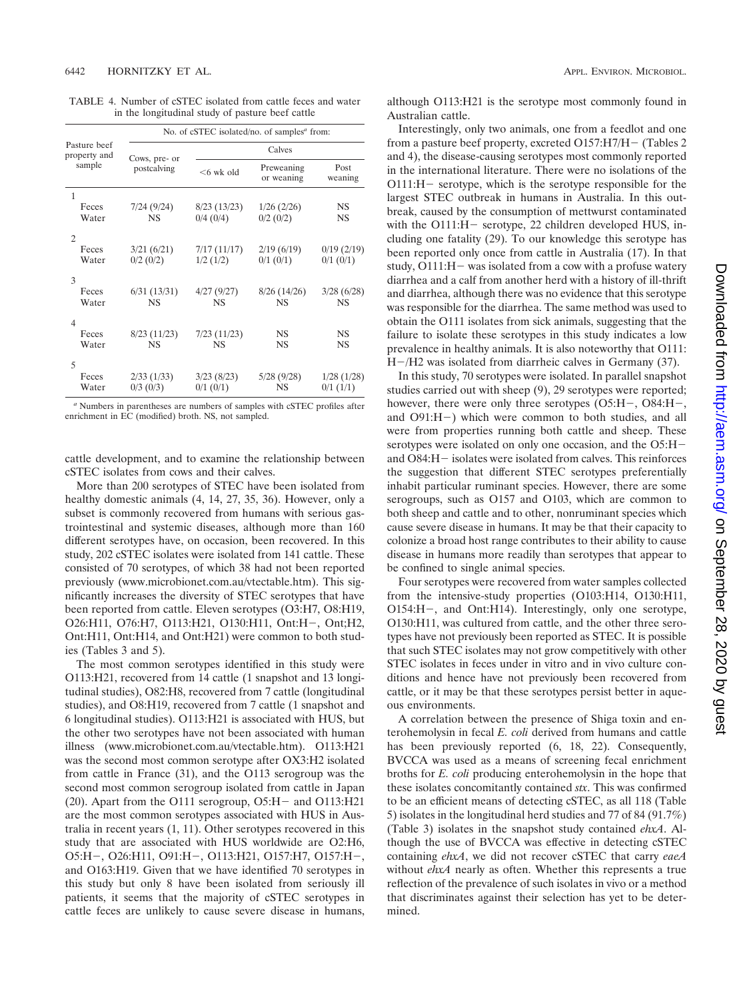TABLE 4. Number of cSTEC isolated from cattle feces and water in the longitudinal study of pasture beef cattle

|                              | No. of cSTEC isolated/no. of samples <sup>a</sup> from: |                             |                           |                         |  |  |  |
|------------------------------|---------------------------------------------------------|-----------------------------|---------------------------|-------------------------|--|--|--|
| Pasture beef<br>property and |                                                         | Calves                      |                           |                         |  |  |  |
| sample                       | Cows, pre- or<br>postcalving                            | $<$ 6 wk old                | Preweaning<br>or weaning  | Post<br>weaning         |  |  |  |
| 1<br>Feces<br>Water          | 7/24(9/24)<br><b>NS</b>                                 | 8/23(13/23)<br>$0/4$ (0/4)  | 1/26(2/26)<br>$0/2$ (0/2) | NS<br>NS                |  |  |  |
| 2<br>Feces                   | 3/21(6/21)                                              | 7/17(11/17)                 | 2/19(6/19)                | 0/19(2/19)              |  |  |  |
| Water<br>3                   | $0/2$ (0/2)                                             | 1/2(1/2)                    | $0/1$ $(0/1)$             | $0/1$ $(0/1)$           |  |  |  |
| Feces<br>Water               | 6/31(13/31)<br><b>NS</b>                                | 4/27(9/27)<br><b>NS</b>     | 8/26(14/26)<br><b>NS</b>  | 3/28(6/28)<br><b>NS</b> |  |  |  |
| 4<br>Feces<br>Water          | 8/23(11/23)<br><b>NS</b>                                | 7/23(11/23)<br><b>NS</b>    | NS<br><b>NS</b>           | NS<br><b>NS</b>         |  |  |  |
| 5<br>Feces<br>Water          | 2/33(1/33)<br>$0/3$ (0/3)                               | 3/23(8/23)<br>$0/1$ $(0/1)$ | 5/28 (9/28)<br><b>NS</b>  | 1/28(1/28)<br>0/1(1/1)  |  |  |  |

*<sup>a</sup>* Numbers in parentheses are numbers of samples with cSTEC profiles after enrichment in EC (modified) broth. NS, not sampled.

cattle development, and to examine the relationship between cSTEC isolates from cows and their calves.

More than 200 serotypes of STEC have been isolated from healthy domestic animals (4, 14, 27, 35, 36). However, only a subset is commonly recovered from humans with serious gastrointestinal and systemic diseases, although more than 160 different serotypes have, on occasion, been recovered. In this study, 202 cSTEC isolates were isolated from 141 cattle. These consisted of 70 serotypes, of which 38 had not been reported previously (www.microbionet.com.au/vtectable.htm). This significantly increases the diversity of STEC serotypes that have been reported from cattle. Eleven serotypes (O3:H7, O8:H19, O26:H11, O76:H7, O113:H21, O130:H11, Ont:H-, Ont;H2, Ont:H11, Ont:H14, and Ont:H21) were common to both studies (Tables 3 and 5).

The most common serotypes identified in this study were O113:H21, recovered from 14 cattle (1 snapshot and 13 longitudinal studies), O82:H8, recovered from 7 cattle (longitudinal studies), and O8:H19, recovered from 7 cattle (1 snapshot and 6 longitudinal studies). O113:H21 is associated with HUS, but the other two serotypes have not been associated with human illness (www.microbionet.com.au/vtectable.htm). O113:H21 was the second most common serotype after OX3:H2 isolated from cattle in France (31), and the O113 serogroup was the second most common serogroup isolated from cattle in Japan (20). Apart from the O111 serogroup, O5:H- and O113:H21 are the most common serotypes associated with HUS in Australia in recent years (1, 11). Other serotypes recovered in this study that are associated with HUS worldwide are O2:H6, O5:H-, O26:H11, O91:H-, O113:H21, O157:H7, O157:H-, and O163:H19. Given that we have identified 70 serotypes in this study but only 8 have been isolated from seriously ill patients, it seems that the majority of cSTEC serotypes in cattle feces are unlikely to cause severe disease in humans,

although O113:H21 is the serotype most commonly found in Australian cattle.

Interestingly, only two animals, one from a feedlot and one from a pasture beef property, excreted O157:H7/H- (Tables 2 and 4), the disease-causing serotypes most commonly reported in the international literature. There were no isolations of the O111:H- serotype, which is the serotype responsible for the largest STEC outbreak in humans in Australia. In this outbreak, caused by the consumption of mettwurst contaminated with the O111:H – serotype, 22 children developed HUS, including one fatality (29). To our knowledge this serotype has been reported only once from cattle in Australia (17). In that study, O111:H- was isolated from a cow with a profuse watery diarrhea and a calf from another herd with a history of ill-thrift and diarrhea, although there was no evidence that this serotype was responsible for the diarrhea. The same method was used to obtain the O111 isolates from sick animals, suggesting that the failure to isolate these serotypes in this study indicates a low prevalence in healthy animals. It is also noteworthy that O111: H-/H2 was isolated from diarrheic calves in Germany (37).

In this study, 70 serotypes were isolated. In parallel snapshot studies carried out with sheep (9), 29 serotypes were reported; however, there were only three serotypes (O5:H –, O84:H –, and O91:H-) which were common to both studies, and all were from properties running both cattle and sheep. These serotypes were isolated on only one occasion, and the O5:H and O84:H- isolates were isolated from calves. This reinforces the suggestion that different STEC serotypes preferentially inhabit particular ruminant species. However, there are some serogroups, such as O157 and O103, which are common to both sheep and cattle and to other, nonruminant species which cause severe disease in humans. It may be that their capacity to colonize a broad host range contributes to their ability to cause disease in humans more readily than serotypes that appear to be confined to single animal species.

Four serotypes were recovered from water samples collected from the intensive-study properties (O103:H14, O130:H11, O154:H-, and Ont:H14). Interestingly, only one serotype, O130:H11, was cultured from cattle, and the other three serotypes have not previously been reported as STEC. It is possible that such STEC isolates may not grow competitively with other STEC isolates in feces under in vitro and in vivo culture conditions and hence have not previously been recovered from cattle, or it may be that these serotypes persist better in aqueous environments.

A correlation between the presence of Shiga toxin and enterohemolysin in fecal *E. coli* derived from humans and cattle has been previously reported (6, 18, 22). Consequently, BVCCA was used as a means of screening fecal enrichment broths for *E. coli* producing enterohemolysin in the hope that these isolates concomitantly contained *stx*. This was confirmed to be an efficient means of detecting cSTEC, as all 118 (Table 5) isolates in the longitudinal herd studies and 77 of 84 (91.7%) (Table 3) isolates in the snapshot study contained *ehxA*. Although the use of BVCCA was effective in detecting cSTEC containing *ehxA*, we did not recover cSTEC that carry *eaeA* without *ehxA* nearly as often. Whether this represents a true reflection of the prevalence of such isolates in vivo or a method that discriminates against their selection has yet to be determined.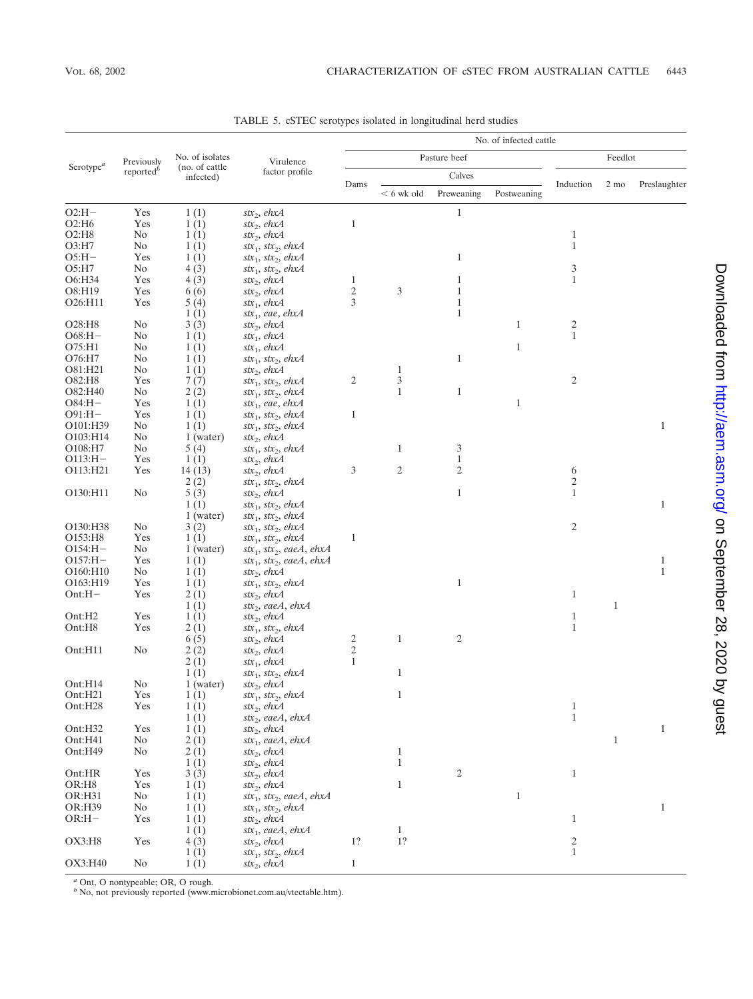|                                |                       | No. of isolates              | Virulence<br>factor profile                                                      | No. of infected cattle |                |                   |              |                                              |              |              |
|--------------------------------|-----------------------|------------------------------|----------------------------------------------------------------------------------|------------------------|----------------|-------------------|--------------|----------------------------------------------|--------------|--------------|
|                                | Previously            |                              |                                                                                  | Pasture beef           |                |                   | Feedlot      |                                              |              |              |
| Serotype <sup>a</sup>          | reported <sup>b</sup> | (no. of cattle)<br>infected) |                                                                                  |                        |                | Calves            |              |                                              |              |              |
|                                |                       |                              |                                                                                  | Dams                   | $< 6$ wk old   | Preweaning        | Postweaning  | Induction                                    | 2 mo         | Preslaughter |
| $O2:H-$                        | Yes                   | 1(1)                         | stx <sub>2</sub> , ehx $A$                                                       |                        |                | $\mathbf{1}$      |              |                                              |              |              |
| O2:H6                          | Yes                   | 1(1)                         | $stx_2$ , ehx $A$                                                                | $\mathbf{1}$           |                |                   |              |                                              |              |              |
| $O2:$ H $8$                    | No                    | 1(1)                         | $\text{str}_2$ , ehx $\text{A}$                                                  |                        |                |                   |              | $\mathbf{1}$                                 |              |              |
| O3:H7                          | No                    | 1(1)                         | $\text{str}_1$ , $\text{str}_2$ , ehxA                                           |                        |                |                   |              | $\mathbf{1}$                                 |              |              |
| $O5:H -$                       | Yes                   | 1(1)                         | $\text{str}_1$ , $\text{str}_2$ , ehxA                                           |                        |                | 1                 |              |                                              |              |              |
| O5:H7                          | No                    | 4(3)                         | $\text{str}_1$ , $\text{str}_2$ , ehxA                                           |                        |                |                   |              | 3                                            |              |              |
| O6:H34                         | Yes                   | 4(3)                         | stx <sub>2</sub> , ehx $A$                                                       | 1                      |                | 1                 |              | $\mathbf{1}$                                 |              |              |
| O8:H19                         | Yes                   | 6(6)                         | $stx_2$ , ehx $A$                                                                | $\sqrt{2}$<br>3        | 3              | $\mathbf{1}$      |              |                                              |              |              |
| O26:H11                        | Yes                   | 5(4)<br>1(1)                 | $stx_1$ , ehx $A$<br>$stx_1$ , eae, ehxA                                         |                        |                | 1<br>$\mathbf{1}$ |              |                                              |              |              |
| O28:H8                         | No                    | 3(3)                         | stx <sub>2</sub> , ehx $A$                                                       |                        |                |                   | $\mathbf{1}$ | $\overline{\mathbf{c}}$                      |              |              |
| $O68:H-$                       | N <sub>0</sub>        | 1(1)                         | $stx_1$ , ehx $A$                                                                |                        |                |                   |              | $\mathbf{1}$                                 |              |              |
| O75:H1                         | No                    | 1(1)                         | $stx_1$ , ehx $A$                                                                |                        |                |                   | $\mathbf{1}$ |                                              |              |              |
| O76:H7                         | No                    | 1(1)                         | $\text{str}_1$ , $\text{str}_2$ , ehxA                                           |                        |                | $\mathbf{1}$      |              |                                              |              |              |
| O81:H21                        | No                    | 1(1)                         | stx <sub>2</sub> , ehx $A$                                                       |                        | $\mathbf{1}$   |                   |              |                                              |              |              |
| O82:H8                         | Yes                   | 7(7)                         | $\text{str}_1$ , $\text{str}_2$ , ehxA                                           | $\mathfrak{2}$         | $\mathfrak{Z}$ |                   |              | $\overline{c}$                               |              |              |
| O82:H40                        | No                    | 2(2)                         | $\text{str}_1$ , $\text{str}_2$ , ehxA                                           |                        | $\mathbf{1}$   | $\mathbf{1}$      |              |                                              |              |              |
| $O84:H -$                      | Yes                   | 1(1)                         | $stx_1$ , eae, ehxA                                                              |                        |                |                   | $\mathbf{1}$ |                                              |              |              |
| $O91:H -$                      | Yes                   | 1(1)                         | $\text{str}_1$ , $\text{str}_2$ , ehxA                                           | $\mathbf{1}$           |                |                   |              |                                              |              |              |
| O101:H39                       | No                    | 1(1)                         | $\text{str}_1$ , $\text{str}_2$ , ehxA                                           |                        |                |                   |              |                                              |              | $\mathbf{1}$ |
| O103:H14                       | No                    | 1 (water)                    | $stx_2$ , ehx $A$                                                                |                        |                |                   |              |                                              |              |              |
| O108:H7                        | No                    | 5(4)                         | $\text{str}_1$ , $\text{str}_2$ , ehxA                                           |                        | $\mathbf{1}$   | 3                 |              |                                              |              |              |
| $O113:H-$                      | Yes                   | 1(1)                         | stx <sub>2</sub> , ehx $A$                                                       |                        |                | 1                 |              |                                              |              |              |
| O113:H21                       | Yes                   | 14(13)                       | stx <sub>2</sub> , ehx $A$                                                       | $\mathfrak z$          | $\sqrt{2}$     | 2                 |              | 6                                            |              |              |
|                                |                       | 2(2)                         | $stx_1, stx_2, ehxA$                                                             |                        |                |                   |              | $\overline{c}$                               |              |              |
| O130:H11                       | N <sub>0</sub>        | 5(3)                         | stx <sub>2</sub> , ehx $A$                                                       |                        |                | $\mathbf{1}$      |              | $\mathbf{1}$                                 |              |              |
|                                |                       | 1(1)                         | $\text{str}_1$ , $\text{str}_2$ , ehxA                                           |                        |                |                   |              |                                              |              | $\mathbf{1}$ |
| O130:H38                       | No                    | $1$ (water)<br>3(2)          | $\text{str}_1$ , $\text{str}_2$ , ehxA<br>$\text{str}_1$ , $\text{str}_2$ , ehxA |                        |                |                   |              | $\mathfrak{2}$                               |              |              |
| O153:H8                        | Yes                   | 1(1)                         | $\text{str}_1$ , $\text{str}_2$ , ehxA                                           | $\mathbf{1}$           |                |                   |              |                                              |              |              |
| $O154:H -$                     | No                    | 1 (water)                    | stx <sub>1</sub> , stx <sub>2</sub> , eaeA, ehxA                                 |                        |                |                   |              |                                              |              |              |
| $O157:H -$                     | Yes                   | 1(1)                         | $stx_1, stx_2, eaeA, ehxA$                                                       |                        |                |                   |              |                                              |              | $\mathbf{1}$ |
| O160:H10                       | No                    | 1(1)                         | stx <sub>2</sub> , ehx $A$                                                       |                        |                |                   |              |                                              |              | $\mathbf{1}$ |
| O163:H19                       | Yes                   | 1(1)                         | $stx_1, stx_2, ehxA$                                                             |                        |                | $\mathbf{1}$      |              |                                              |              |              |
| $Ont:H-$                       | Yes                   | 2(1)                         | stx <sub>2</sub> , ehx $A$                                                       |                        |                |                   |              | $\mathbf{1}$                                 |              |              |
|                                |                       | 1(1)                         | $\text{str}_2$ , eae $A$ , ehx $A$                                               |                        |                |                   |              |                                              | $\mathbf{1}$ |              |
| Ont:H <sub>2</sub>             | Yes                   | 1(1)                         | stx <sub>2</sub> , ehx $A$                                                       |                        |                |                   |              | $\mathbf{1}$                                 |              |              |
| Ont:H8                         | Yes                   | 2(1)                         | $stx_1, stx_2, ehxA$                                                             |                        |                |                   |              | $\mathbf{1}$                                 |              |              |
|                                |                       | 6(5)                         | stx <sub>2</sub> , ehx $A$                                                       | 2                      | $\mathbf{1}$   | 2                 |              |                                              |              |              |
| Ont:H11                        | N <sub>0</sub>        | 2(2)                         | stx <sub>2</sub> , ehx $A$                                                       | $\sqrt{2}$             |                |                   |              |                                              |              |              |
|                                |                       | 2(1)                         | $stx_1$ , ehx $A$                                                                | $\mathbf{1}$           |                |                   |              |                                              |              |              |
|                                |                       | 1(1)                         | $\text{str}_1$ , $\text{str}_2$ , ehxA                                           |                        | $\mathbf{1}$   |                   |              |                                              |              |              |
| Ont:H14<br>Ont:H <sub>21</sub> | No<br>Yes             | 1 (water)                    | stx <sub>2</sub> , ehx $A$                                                       |                        | 1              |                   |              |                                              |              |              |
| Ont:H28                        | Yes                   | 1(1)<br>1(1)                 | $stx_1$ , $stx_2$ , $ehxA$<br>stx <sub>2</sub> , ehx $A$                         |                        |                |                   |              | $\mathbf{1}$                                 |              |              |
|                                |                       | 1(1)                         | $\text{str}_2$ , eae $A$ , ehx $A$                                               |                        |                |                   |              | $\,1\,$                                      |              |              |
| Ont:H32                        | Yes                   | 1(1)                         | $\text{str}_2$ , ehx $\text{A}$                                                  |                        |                |                   |              |                                              |              | $\mathbf{1}$ |
| Ont:H41                        | No                    | 2(1)                         | $\text{str}_1$ , eaeA, ehxA                                                      |                        |                |                   |              |                                              | $\mathbf{1}$ |              |
| Ont:H49                        | No                    | 2(1)                         | stx <sub>2</sub> , ehx $A$                                                       |                        | $\mathbf{1}$   |                   |              |                                              |              |              |
|                                |                       | 1(1)                         | $\text{str}_2$ , ehx $A$                                                         |                        | $\mathbf{1}$   |                   |              |                                              |              |              |
| Ont:HR                         | Yes                   | 3(3)                         | stx <sub>2</sub> , ehx $A$                                                       |                        |                | 2                 |              | $\mathbf{1}$                                 |              |              |
| OR:H8                          | Yes                   | 1(1)                         | $\text{str}_2$ , ehx $\text{A}$                                                  |                        | $\,1\,$        |                   |              |                                              |              |              |
| OR:H31                         | No                    | 1(1)                         | $stx_1$ , $stx_2$ , eaeA, ehxA                                                   |                        |                |                   | $\,1\,$      |                                              |              |              |
| OR:H39                         | No                    | 1(1)                         | $\text{str}_1, \text{str}_2, \text{ehxA}$                                        |                        |                |                   |              |                                              |              | $\mathbf{1}$ |
| $OR:H -$                       | Yes                   | 1(1)                         | stx <sub>2</sub> , ehx $A$                                                       |                        |                |                   |              | $\mathbf{1}$                                 |              |              |
|                                |                       | 1(1)                         | $stx_1$ , eae $A$ , ehx $A$                                                      |                        | $\mathbf{1}$   |                   |              |                                              |              |              |
| OX3:H8                         | Yes                   | 4(3)                         | stx <sub>2</sub> , ehx $A$                                                       | 1?                     | 1?             |                   |              | $\begin{smallmatrix} 2\\1 \end{smallmatrix}$ |              |              |
|                                |                       | 1(1)                         | $stx_1, stx_2, ehxA$                                                             |                        |                |                   |              |                                              |              |              |
| OX3:H40                        | No                    | 1(1)                         | $\text{str}_2$ , ehx $\text{A}$                                                  | $\mathbf{1}$           |                |                   |              |                                              |              |              |

TABLE 5. cSTEC serotypes isolated in longitudinal herd studies

*<sup>a</sup>* Ont, O nontypeable; OR, O rough.

*<sup>b</sup>* No, not previously reported (www.microbionet.com.au/vtectable.htm).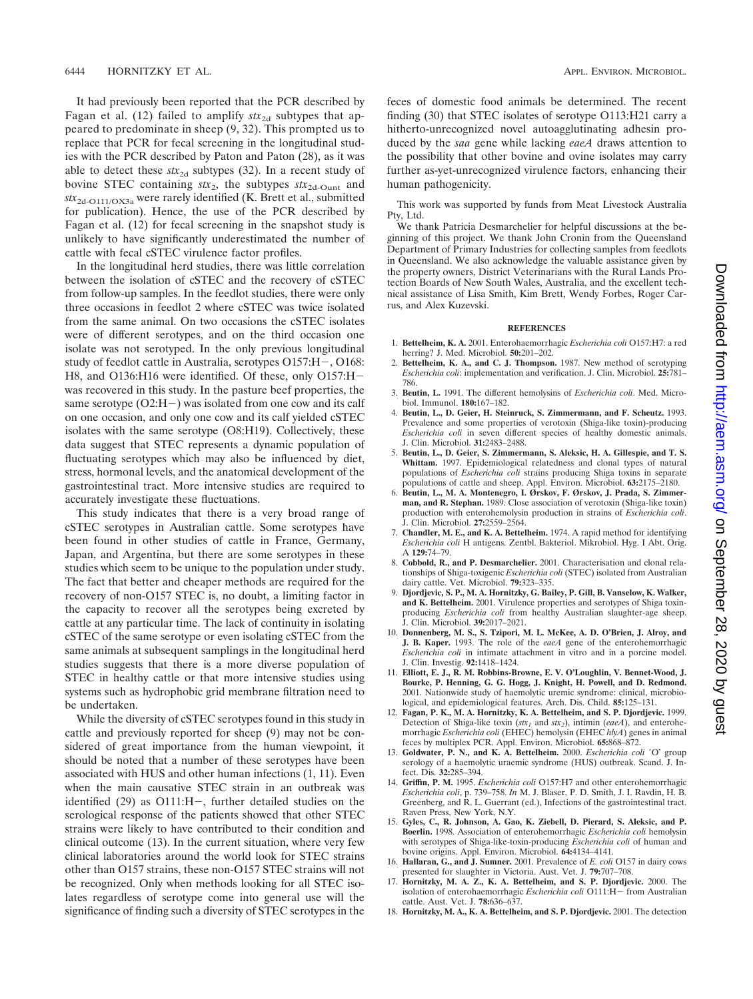It had previously been reported that the PCR described by Fagan et al. (12) failed to amplify  $stx_{2d}$  subtypes that appeared to predominate in sheep (9, 32). This prompted us to replace that PCR for fecal screening in the longitudinal studies with the PCR described by Paton and Paton (28), as it was able to detect these  $stx_{2d}$  subtypes (32). In a recent study of bovine STEC containing  $stx_2$ , the subtypes  $stx_{2d\text{-}Ount}$  and *stx*2d-O111/OX3a were rarely identified (K. Brett et al., submitted for publication). Hence, the use of the PCR described by Fagan et al. (12) for fecal screening in the snapshot study is unlikely to have significantly underestimated the number of cattle with fecal cSTEC virulence factor profiles.

In the longitudinal herd studies, there was little correlation between the isolation of cSTEC and the recovery of cSTEC from follow-up samples. In the feedlot studies, there were only three occasions in feedlot 2 where cSTEC was twice isolated from the same animal. On two occasions the cSTEC isolates were of different serotypes, and on the third occasion one isolate was not serotyped. In the only previous longitudinal study of feedlot cattle in Australia, serotypes O157:H-, O168: H8, and O136:H16 were identified. Of these, only O157:H was recovered in this study. In the pasture beef properties, the same serotype (O2:H-) was isolated from one cow and its calf on one occasion, and only one cow and its calf yielded cSTEC isolates with the same serotype (O8:H19). Collectively, these data suggest that STEC represents a dynamic population of fluctuating serotypes which may also be influenced by diet, stress, hormonal levels, and the anatomical development of the gastrointestinal tract. More intensive studies are required to accurately investigate these fluctuations.

This study indicates that there is a very broad range of cSTEC serotypes in Australian cattle. Some serotypes have been found in other studies of cattle in France, Germany, Japan, and Argentina, but there are some serotypes in these studies which seem to be unique to the population under study. The fact that better and cheaper methods are required for the recovery of non-O157 STEC is, no doubt, a limiting factor in the capacity to recover all the serotypes being excreted by cattle at any particular time. The lack of continuity in isolating cSTEC of the same serotype or even isolating cSTEC from the same animals at subsequent samplings in the longitudinal herd studies suggests that there is a more diverse population of STEC in healthy cattle or that more intensive studies using systems such as hydrophobic grid membrane filtration need to be undertaken.

While the diversity of cSTEC serotypes found in this study in cattle and previously reported for sheep (9) may not be considered of great importance from the human viewpoint, it should be noted that a number of these serotypes have been associated with HUS and other human infections (1, 11). Even when the main causative STEC strain in an outbreak was identified (29) as O111:H-, further detailed studies on the serological response of the patients showed that other STEC strains were likely to have contributed to their condition and clinical outcome (13). In the current situation, where very few clinical laboratories around the world look for STEC strains other than O157 strains, these non-O157 STEC strains will not be recognized. Only when methods looking for all STEC isolates regardless of serotype come into general use will the significance of finding such a diversity of STEC serotypes in the

feces of domestic food animals be determined. The recent finding (30) that STEC isolates of serotype O113:H21 carry a hitherto-unrecognized novel autoagglutinating adhesin produced by the *saa* gene while lacking *eaeA* draws attention to the possibility that other bovine and ovine isolates may carry further as-yet-unrecognized virulence factors, enhancing their human pathogenicity.

This work was supported by funds from Meat Livestock Australia Pty, Ltd.

We thank Patricia Desmarchelier for helpful discussions at the beginning of this project. We thank John Cronin from the Queensland Department of Primary Industries for collecting samples from feedlots in Queensland. We also acknowledge the valuable assistance given by the property owners, District Veterinarians with the Rural Lands Protection Boards of New South Wales, Australia, and the excellent technical assistance of Lisa Smith, Kim Brett, Wendy Forbes, Roger Carrus, and Alex Kuzevski.

## **REFERENCES**

- 1. **Bettelheim, K. A.** 2001. Enterohaemorrhagic *Escherichia coli* O157:H7: a red herring? J. Med. Microbiol. **50:**201–202.
- Bettelheim, K. A., and C. J. Thompson. 1987. New method of serotyping *Escherichia coli*: implementation and verification. J. Clin. Microbiol. **25:**781– 786.
- 3. **Beutin, L.** 1991. The different hemolysins of *Escherichia coli*. Med. Microbiol. Immunol. **180:**167–182.
- 4. **Beutin, L., D. Geier, H. Steinruck, S. Zimmermann, and F. Scheutz.** 1993. Prevalence and some properties of verotoxin (Shiga-like toxin)-producing *Escherichia coli* in seven different species of healthy domestic animals. J. Clin. Microbiol. **31:**2483–2488.
- 5. **Beutin, L., D. Geier, S. Zimmermann, S. Aleksic, H. A. Gillespie, and T. S. Whittam.** 1997. Epidemiological relatedness and clonal types of natural populations of *Escherichia coli* strains producing Shiga toxins in separate populations of cattle and sheep. Appl. Environ. Microbiol. **63:**2175–2180.
- 6. **Beutin, L., M. A. Montenegro, I. Ørskov, F. Ørskov, J. Prada, S. Zimmerman, and R. Stephan.** 1989. Close association of verotoxin (Shiga-like toxin) production with enterohemolysin production in strains of *Escherichia coli*. J. Clin. Microbiol. **27:**2559–2564.
- 7. **Chandler, M. E., and K. A. Bettelheim.** 1974. A rapid method for identifying *Escherichia coli* H antigens. Zentbl. Bakteriol. Mikrobiol. Hyg. I Abt. Orig. A **129:**74–79.
- 8. **Cobbold, R., and P. Desmarchelier.** 2001. Characterisation and clonal relationships of Shiga-toxigenic *Escherichia coli* (STEC) isolated from Australian dairy cattle. Vet. Microbiol. **79:**323–335.
- 9. **Djordjevic, S. P., M. A. Hornitzky, G. Bailey, P. Gill, B. Vanselow, K. Walker, and K. Bettelheim.** 2001. Virulence properties and serotypes of Shiga toxinproducing *Escherichia coli* from healthy Australian slaughter-age sheep. J. Clin. Microbiol. **39:**2017–2021.
- 10. **Donnenberg, M. S., S. Tzipori, M. L. McKee, A. D. O'Brien, J. Alroy, and J. B. Kaper.** 1993. The role of the *eaeA* gene of the enterohemorrhagic *Escherichia coli* in intimate attachment in vitro and in a porcine model. J. Clin. Investig. **92:**1418–1424.
- 11. **Elliott, E. J., R. M. Robbins-Browne, E. V. O'Loughlin, V. Bennet-Wood, J. Bourke, P. Henning, G. G. Hogg, J. Knight, H. Powell, and D. Redmond.** 2001. Nationwide study of haemolytic uremic syndrome: clinical, microbiological, and epidemiological features. Arch. Dis. Child. **85:**125–131.
- 12. **Fagan, P. K., M. A. Hornitzky, K. A. Bettelheim, and S. P. Djordjevic.** 1999. Detection of Shiga-like toxin ( $stx_1$  and  $stx_2$ ), intimin (*eaeA*), and enterohemorrhagic *Escherichia coli* (EHEC) hemolysin (EHEC *hlyA*) genes in animal feces by multiplex PCR. Appl. Environ. Microbiol. **65:**868–872.
- 13. Goldwater, P. N., and K. A. Bettelheim. 2000. *Escherichia coli* 'O' group serology of a haemolytic uraemic syndrome (HUS) outbreak. Scand. J. Infect. Dis. **32:**285–394.
- 14. **Griffin, P. M.** 1995. *Escherichia coli* O157:H7 and other enterohemorrhagic *Escherichia coli*, p. 739–758. *In* M. J. Blaser, P. D. Smith, J. I. Ravdin, H. B. Greenberg, and R. L. Guerrant (ed.), Infections of the gastrointestinal tract. Raven Press, New York, N.Y.
- 15. **Gyles, C., R. Johnson, A. Gao, K. Ziebell, D. Pierard, S. Aleksic, and P. Boerlin.** 1998. Association of enterohemorrhagic *Escherichia coli* hemolysin with serotypes of Shiga-like-toxin-producing *Escherichia coli* of human and bovine origins. Appl. Environ. Microbiol. **64:**4134–4141.
- 16. **Hallaran, G., and J. Sumner.** 2001. Prevalence of *E. coli* O157 in dairy cows presented for slaughter in Victoria. Aust. Vet. J. **79:**707–708.
- 17. **Hornitzky, M. A. Z., K. A. Bettelheim, and S. P. Djordjevic.** 2000. The isolation of enterohaemorrhagic *Escherichia coli* O111:H- from Australian cattle. Aust. Vet. J. **78:**636–637.
- 18. **Hornitzky, M. A., K. A. Bettelheim, and S. P. Djordjevic.** 2001. The detection